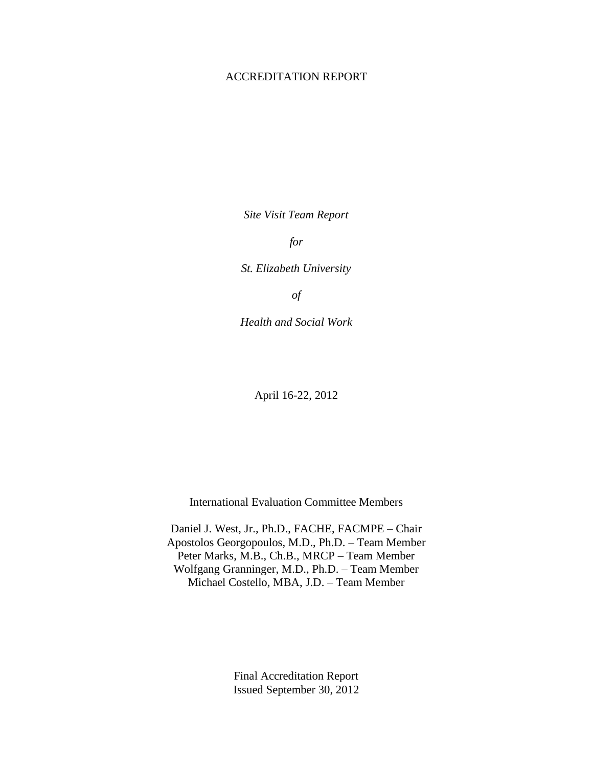#### ACCREDITATION REPORT

*Site Visit Team Report*

*for* 

*St. Elizabeth University*

*of*

*Health and Social Work* 

April 16-22, 2012

International Evaluation Committee Members

Daniel J. West, Jr., Ph.D., FACHE, FACMPE – Chair Apostolos Georgopoulos, M.D., Ph.D. – Team Member Peter Marks, M.B., Ch.B., MRCP – Team Member Wolfgang Granninger, M.D., Ph.D. – Team Member Michael Costello, MBA, J.D. – Team Member

> Final Accreditation Report Issued September 30, 2012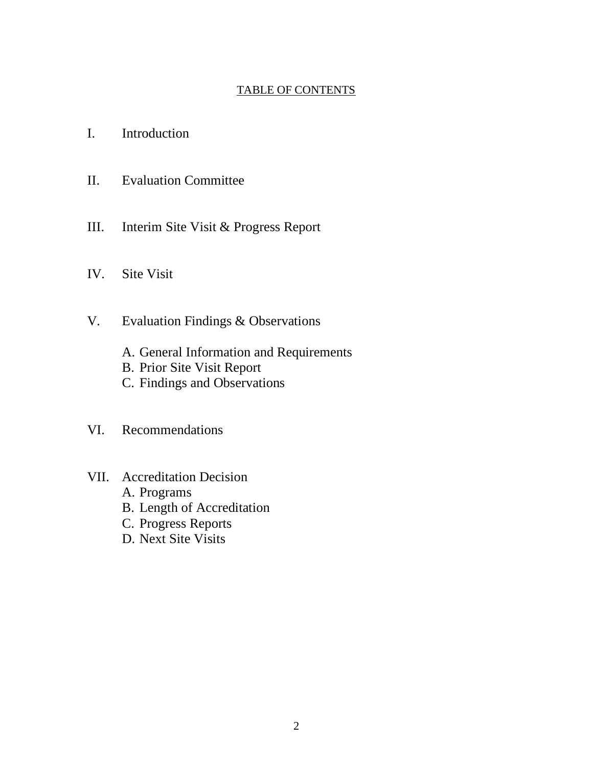# TABLE OF CONTENTS

- I. Introduction
- II. Evaluation Committee
- III. Interim Site Visit & Progress Report
- IV. Site Visit
- V. Evaluation Findings & Observations
	- A. General Information and Requirements
	- B. Prior Site Visit Report
	- C. Findings and Observations
- VI. Recommendations
- VII. Accreditation Decision
	- A. Programs
	- B. Length of Accreditation
	- C. Progress Reports
	- D. Next Site Visits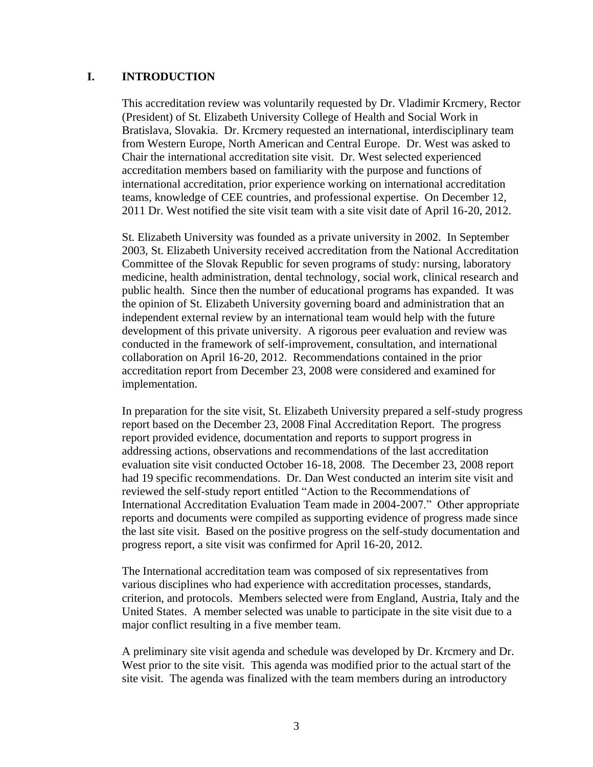#### **I. INTRODUCTION**

This accreditation review was voluntarily requested by Dr. Vladimir Krcmery, Rector (President) of St. Elizabeth University College of Health and Social Work in Bratislava, Slovakia. Dr. Krcmery requested an international, interdisciplinary team from Western Europe, North American and Central Europe. Dr. West was asked to Chair the international accreditation site visit. Dr. West selected experienced accreditation members based on familiarity with the purpose and functions of international accreditation, prior experience working on international accreditation teams, knowledge of CEE countries, and professional expertise. On December 12, 2011 Dr. West notified the site visit team with a site visit date of April 16-20, 2012.

St. Elizabeth University was founded as a private university in 2002. In September 2003, St. Elizabeth University received accreditation from the National Accreditation Committee of the Slovak Republic for seven programs of study: nursing, laboratory medicine, health administration, dental technology, social work, clinical research and public health. Since then the number of educational programs has expanded. It was the opinion of St. Elizabeth University governing board and administration that an independent external review by an international team would help with the future development of this private university. A rigorous peer evaluation and review was conducted in the framework of self-improvement, consultation, and international collaboration on April 16-20, 2012. Recommendations contained in the prior accreditation report from December 23, 2008 were considered and examined for implementation.

In preparation for the site visit, St. Elizabeth University prepared a self-study progress report based on the December 23, 2008 Final Accreditation Report. The progress report provided evidence, documentation and reports to support progress in addressing actions, observations and recommendations of the last accreditation evaluation site visit conducted October 16-18, 2008. The December 23, 2008 report had 19 specific recommendations. Dr. Dan West conducted an interim site visit and reviewed the self-study report entitled "Action to the Recommendations of International Accreditation Evaluation Team made in 2004-2007." Other appropriate reports and documents were compiled as supporting evidence of progress made since the last site visit. Based on the positive progress on the self-study documentation and progress report, a site visit was confirmed for April 16-20, 2012.

The International accreditation team was composed of six representatives from various disciplines who had experience with accreditation processes, standards, criterion, and protocols. Members selected were from England, Austria, Italy and the United States. A member selected was unable to participate in the site visit due to a major conflict resulting in a five member team.

A preliminary site visit agenda and schedule was developed by Dr. Krcmery and Dr. West prior to the site visit. This agenda was modified prior to the actual start of the site visit. The agenda was finalized with the team members during an introductory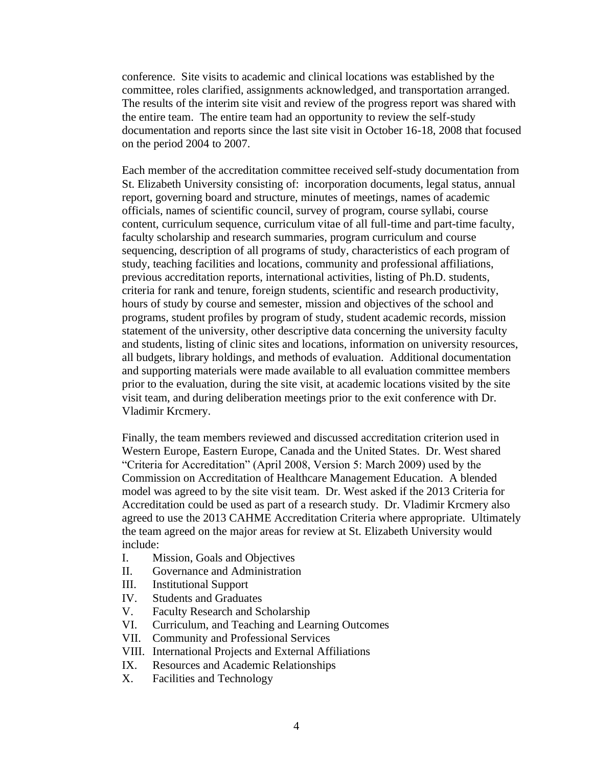conference. Site visits to academic and clinical locations was established by the committee, roles clarified, assignments acknowledged, and transportation arranged. The results of the interim site visit and review of the progress report was shared with the entire team. The entire team had an opportunity to review the self-study documentation and reports since the last site visit in October 16-18, 2008 that focused on the period 2004 to 2007.

Each member of the accreditation committee received self-study documentation from St. Elizabeth University consisting of: incorporation documents, legal status, annual report, governing board and structure, minutes of meetings, names of academic officials, names of scientific council, survey of program, course syllabi, course content, curriculum sequence, curriculum vitae of all full-time and part-time faculty, faculty scholarship and research summaries, program curriculum and course sequencing, description of all programs of study, characteristics of each program of study, teaching facilities and locations, community and professional affiliations, previous accreditation reports, international activities, listing of Ph.D. students, criteria for rank and tenure, foreign students, scientific and research productivity, hours of study by course and semester, mission and objectives of the school and programs, student profiles by program of study, student academic records, mission statement of the university, other descriptive data concerning the university faculty and students, listing of clinic sites and locations, information on university resources, all budgets, library holdings, and methods of evaluation. Additional documentation and supporting materials were made available to all evaluation committee members prior to the evaluation, during the site visit, at academic locations visited by the site visit team, and during deliberation meetings prior to the exit conference with Dr. Vladimir Krcmery.

Finally, the team members reviewed and discussed accreditation criterion used in Western Europe, Eastern Europe, Canada and the United States. Dr. West shared "Criteria for Accreditation" (April 2008, Version 5: March 2009) used by the Commission on Accreditation of Healthcare Management Education. A blended model was agreed to by the site visit team. Dr. West asked if the 2013 Criteria for Accreditation could be used as part of a research study. Dr. Vladimir Krcmery also agreed to use the 2013 CAHME Accreditation Criteria where appropriate. Ultimately the team agreed on the major areas for review at St. Elizabeth University would include:

- I. Mission, Goals and Objectives
- II. Governance and Administration
- III. Institutional Support
- IV. Students and Graduates
- V. Faculty Research and Scholarship
- VI. Curriculum, and Teaching and Learning Outcomes
- VII. Community and Professional Services
- VIII. International Projects and External Affiliations
- IX. Resources and Academic Relationships
- X. Facilities and Technology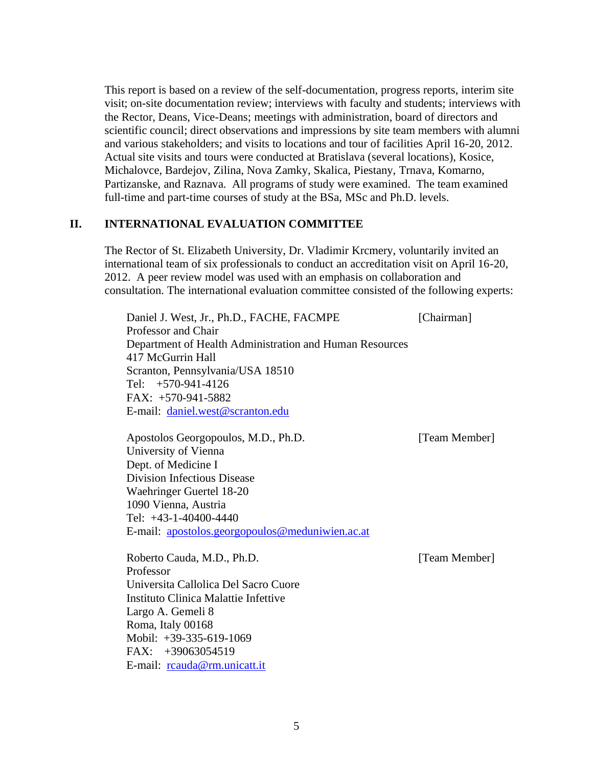This report is based on a review of the self-documentation, progress reports, interim site visit; on-site documentation review; interviews with faculty and students; interviews with the Rector, Deans, Vice-Deans; meetings with administration, board of directors and scientific council; direct observations and impressions by site team members with alumni and various stakeholders; and visits to locations and tour of facilities April 16-20, 2012. Actual site visits and tours were conducted at Bratislava (several locations), Kosice, Michalovce, Bardejov, Zilina, Nova Zamky, Skalica, Piestany, Trnava, Komarno, Partizanske, and Raznava. All programs of study were examined. The team examined full-time and part-time courses of study at the BSa, MSc and Ph.D. levels.

### **II. INTERNATIONAL EVALUATION COMMITTEE**

The Rector of St. Elizabeth University, Dr. Vladimir Krcmery, voluntarily invited an international team of six professionals to conduct an accreditation visit on April 16-20, 2012. A peer review model was used with an emphasis on collaboration and consultation. The international evaluation committee consisted of the following experts:

Daniel J. West, Jr., Ph.D., FACHE, FACMPE [Chairman] Professor and Chair Department of Health Administration and Human Resources 417 McGurrin Hall Scranton, Pennsylvania/USA 18510 Tel: +570-941-4126 FAX: +570-941-5882 E-mail: [daniel.west@scranton.edu](mailto:daniel.west@scranton.edu)

Apostolos Georgopoulos, M.D., Ph.D. [Team Member] University of Vienna Dept. of Medicine I Division Infectious Disease Waehringer Guertel 18-20 1090 Vienna, Austria Tel: +43-1-40400-4440 E-mail: [apostolos.georgopoulos@meduniwien.ac.at](mailto:apostolos.georgopoulos@meduniwien.ac.at)

Roberto Cauda, M.D., Ph.D. [Team Member] Professor Universita Callolica Del Sacro Cuore Instituto Clinica Malattie Infettive Largo A. Gemeli 8 Roma, Italy 00168 Mobil: +39-335-619-1069 FAX: +39063054519 E-mail: [rcauda@rm.unicatt.it](mailto:rcauda@rm.unicatt.it)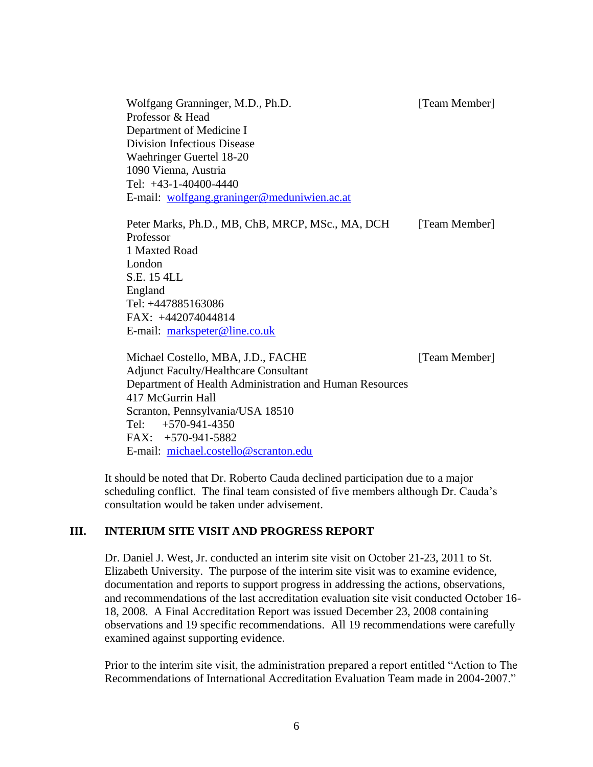Wolfgang Granninger, M.D., Ph.D. [Team Member] Professor & Head Department of Medicine I Division Infectious Disease Waehringer Guertel 18-20 1090 Vienna, Austria Tel: +43-1-40400-4440 E-mail: [wolfgang.graninger@meduniwien.ac.at](mailto:wolfgang.graninger@meduniwien.ac.at)

Peter Marks, Ph.D., MB, ChB, MRCP, MSc., MA, DCH [Team Member] Professor 1 Maxted Road London S.E. 15 4LL England Tel: +447885163086 FAX: +442074044814 E-mail: [markspeter@line.co.uk](mailto:markspeter@line.co.uk)

Michael Costello, MBA, J.D., FACHE [Team Member] Adjunct Faculty/Healthcare Consultant Department of Health Administration and Human Resources 417 McGurrin Hall Scranton, Pennsylvania/USA 18510 Tel: +570-941-4350 FAX: +570-941-5882 E-mail: [michael.costello@scranton.edu](mailto:michael.costello@scranton.edu)

It should be noted that Dr. Roberto Cauda declined participation due to a major scheduling conflict. The final team consisted of five members although Dr. Cauda's consultation would be taken under advisement.

### **III. INTERIUM SITE VISIT AND PROGRESS REPORT**

Dr. Daniel J. West, Jr. conducted an interim site visit on October 21-23, 2011 to St. Elizabeth University. The purpose of the interim site visit was to examine evidence, documentation and reports to support progress in addressing the actions, observations, and recommendations of the last accreditation evaluation site visit conducted October 16- 18, 2008. A Final Accreditation Report was issued December 23, 2008 containing observations and 19 specific recommendations. All 19 recommendations were carefully examined against supporting evidence.

Prior to the interim site visit, the administration prepared a report entitled "Action to The Recommendations of International Accreditation Evaluation Team made in 2004-2007."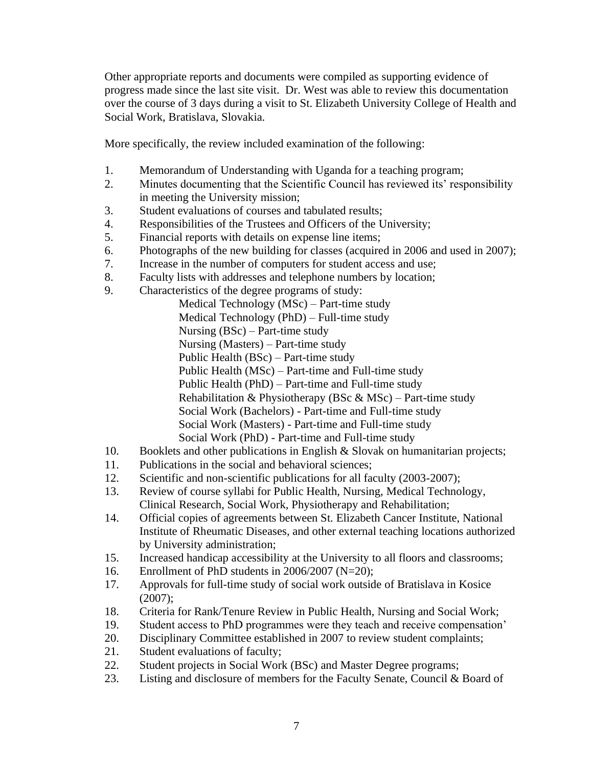Other appropriate reports and documents were compiled as supporting evidence of progress made since the last site visit. Dr. West was able to review this documentation over the course of 3 days during a visit to St. Elizabeth University College of Health and Social Work, Bratislava, Slovakia.

More specifically, the review included examination of the following:

- 1. Memorandum of Understanding with Uganda for a teaching program;
- 2. Minutes documenting that the Scientific Council has reviewed its' responsibility in meeting the University mission;
- 3. Student evaluations of courses and tabulated results;
- 4. Responsibilities of the Trustees and Officers of the University;
- 5. Financial reports with details on expense line items;
- 6. Photographs of the new building for classes (acquired in 2006 and used in 2007);
- 7. Increase in the number of computers for student access and use;
- 8. Faculty lists with addresses and telephone numbers by location;
- 9. Characteristics of the degree programs of study:

Medical Technology (MSc) – Part-time study Medical Technology (PhD) – Full-time study Nursing (BSc) – Part-time study Nursing (Masters) – Part-time study Public Health (BSc) – Part-time study Public Health (MSc) – Part-time and Full-time study Public Health (PhD) – Part-time and Full-time study Rehabilitation & Physiotherapy (BSc & MSc) – Part-time study Social Work (Bachelors) - Part-time and Full-time study Social Work (Masters) - Part-time and Full-time study Social Work (PhD) - Part-time and Full-time study

- 10. Booklets and other publications in English & Slovak on humanitarian projects;
- 11. Publications in the social and behavioral sciences;
- 12. Scientific and non-scientific publications for all faculty (2003-2007);
- 13. Review of course syllabi for Public Health, Nursing, Medical Technology, Clinical Research, Social Work, Physiotherapy and Rehabilitation;
- 14. Official copies of agreements between St. Elizabeth Cancer Institute, National Institute of Rheumatic Diseases, and other external teaching locations authorized by University administration;
- 15. Increased handicap accessibility at the University to all floors and classrooms;
- 16. Enrollment of PhD students in 2006/2007 (N=20);
- 17. Approvals for full-time study of social work outside of Bratislava in Kosice (2007);
- 18. Criteria for Rank/Tenure Review in Public Health, Nursing and Social Work;
- 19. Student access to PhD programmes were they teach and receive compensation'
- 20. Disciplinary Committee established in 2007 to review student complaints;
- 21. Student evaluations of faculty;
- 22. Student projects in Social Work (BSc) and Master Degree programs;
- 23. Listing and disclosure of members for the Faculty Senate, Council & Board of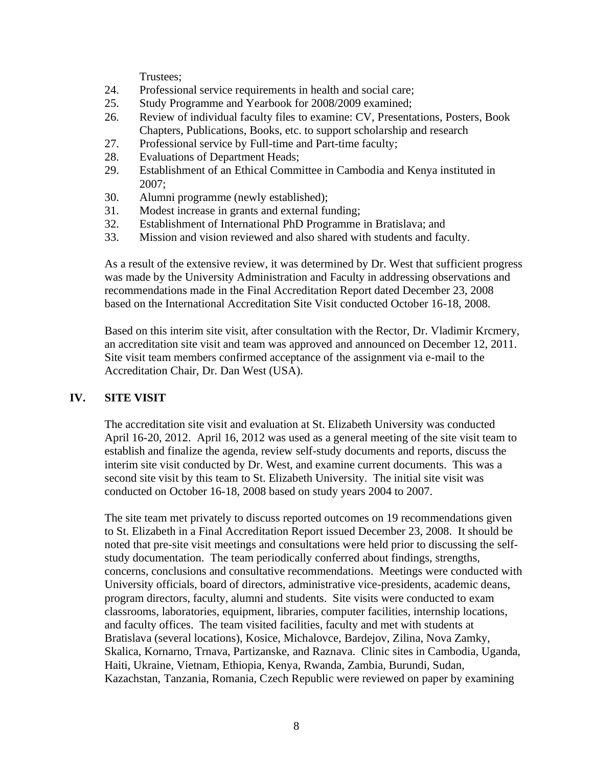Trustees;

- 24. Professional service requirements in health and social care;
- 25. Study Programme and Yearbook for 2008/2009 examined;
- 26. Review of individual faculty files to examine: CV, Presentations, Posters, Book Chapters, Publications, Books, etc. to support scholarship and research
- 27. Professional service by Full-time and Part-time faculty;
- 28. Evaluations of Department Heads;
- 29. Establishment of an Ethical Committee in Cambodia and Kenya instituted in 2007;
- 30. Alumni programme (newly established);
- 31. Modest increase in grants and external funding;
- 32. Establishment of International PhD Programme in Bratislava; and
- 33. Mission and vision reviewed and also shared with students and faculty.

As a result of the extensive review, it was determined by Dr. West that sufficient progress was made by the University Administration and Faculty in addressing observations and recommendations made in the Final Accreditation Report dated December 23, 2008 based on the International Accreditation Site Visit conducted October 16-18, 2008.

Based on this interim site visit, after consultation with the Rector, Dr. Vladimir Krcmery, an accreditation site visit and team was approved and announced on December 12, 2011. Site visit team members confirmed acceptance of the assignment via e-mail to the Accreditation Chair, Dr. Dan West (USA).

### **IV. SITE VISIT**

The accreditation site visit and evaluation at St. Elizabeth University was conducted April 16-20, 2012. April 16, 2012 was used as a general meeting of the site visit team to establish and finalize the agenda, review self-study documents and reports, discuss the interim site visit conducted by Dr. West, and examine current documents. This was a second site visit by this team to St. Elizabeth University. The initial site visit was conducted on October 16-18, 2008 based on study years 2004 to 2007.

The site team met privately to discuss reported outcomes on 19 recommendations given to St. Elizabeth in a Final Accreditation Report issued December 23, 2008. It should be noted that pre-site visit meetings and consultations were held prior to discussing the selfstudy documentation. The team periodically conferred about findings, strengths, concerns, conclusions and consultative recommendations. Meetings were conducted with University officials, board of directors, administrative vice-presidents, academic deans, program directors, faculty, alumni and students. Site visits were conducted to exam classrooms, laboratories, equipment, libraries, computer facilities, internship locations, and faculty offices. The team visited facilities, faculty and met with students at Bratislava (several locations), Kosice, Michalovce, Bardejov, Zilina, Nova Zamky, Skalica, Kornarno, Trnava, Partizanske, and Raznava. Clinic sites in Cambodia, Uganda, Haiti, Ukraine, Vietnam, Ethiopia, Kenya, Rwanda, Zambia, Burundi, Sudan, Kazachstan, Tanzania, Romania, Czech Republic were reviewed on paper by examining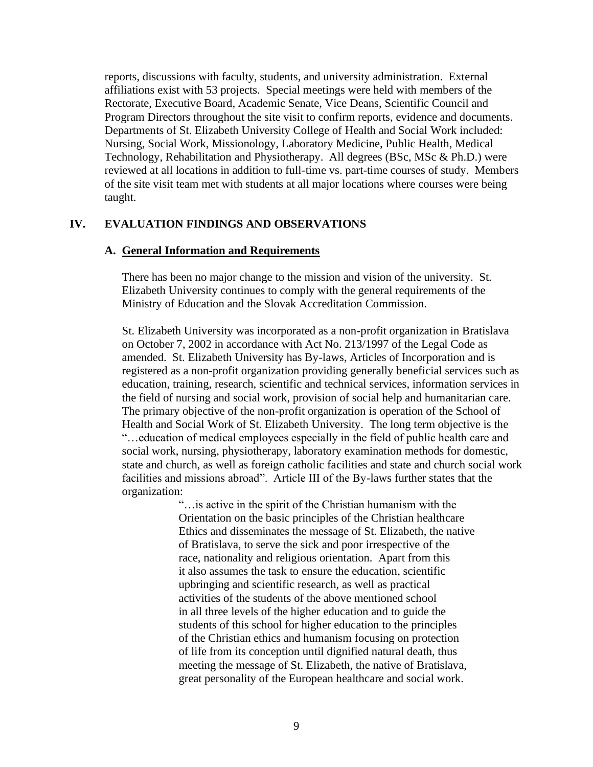reports, discussions with faculty, students, and university administration. External affiliations exist with 53 projects. Special meetings were held with members of the Rectorate, Executive Board, Academic Senate, Vice Deans, Scientific Council and Program Directors throughout the site visit to confirm reports, evidence and documents. Departments of St. Elizabeth University College of Health and Social Work included: Nursing, Social Work, Missionology, Laboratory Medicine, Public Health, Medical Technology, Rehabilitation and Physiotherapy. All degrees (BSc, MSc & Ph.D.) were reviewed at all locations in addition to full-time vs. part-time courses of study. Members of the site visit team met with students at all major locations where courses were being taught.

#### **IV. EVALUATION FINDINGS AND OBSERVATIONS**

#### **A. General Information and Requirements**

There has been no major change to the mission and vision of the university. St. Elizabeth University continues to comply with the general requirements of the Ministry of Education and the Slovak Accreditation Commission.

St. Elizabeth University was incorporated as a non-profit organization in Bratislava on October 7, 2002 in accordance with Act No. 213/1997 of the Legal Code as amended. St. Elizabeth University has By-laws, Articles of Incorporation and is registered as a non-profit organization providing generally beneficial services such as education, training, research, scientific and technical services, information services in the field of nursing and social work, provision of social help and humanitarian care. The primary objective of the non-profit organization is operation of the School of Health and Social Work of St. Elizabeth University. The long term objective is the "…education of medical employees especially in the field of public health care and social work, nursing, physiotherapy, laboratory examination methods for domestic, state and church, as well as foreign catholic facilities and state and church social work facilities and missions abroad". Article III of the By-laws further states that the organization:

> "…is active in the spirit of the Christian humanism with the Orientation on the basic principles of the Christian healthcare Ethics and disseminates the message of St. Elizabeth, the native of Bratislava, to serve the sick and poor irrespective of the race, nationality and religious orientation. Apart from this it also assumes the task to ensure the education, scientific upbringing and scientific research, as well as practical activities of the students of the above mentioned school in all three levels of the higher education and to guide the students of this school for higher education to the principles of the Christian ethics and humanism focusing on protection of life from its conception until dignified natural death, thus meeting the message of St. Elizabeth, the native of Bratislava, great personality of the European healthcare and social work.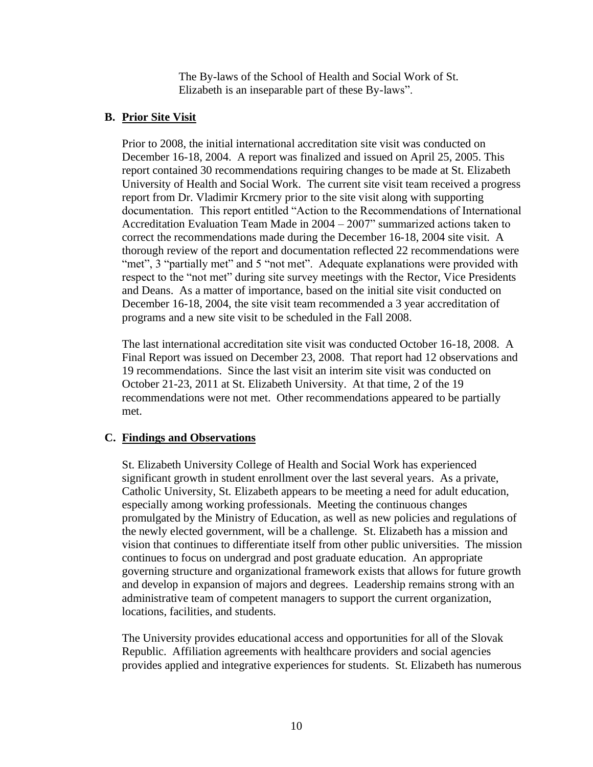The By-laws of the School of Health and Social Work of St. Elizabeth is an inseparable part of these By-laws".

#### **B. Prior Site Visit**

Prior to 2008, the initial international accreditation site visit was conducted on December 16-18, 2004. A report was finalized and issued on April 25, 2005. This report contained 30 recommendations requiring changes to be made at St. Elizabeth University of Health and Social Work. The current site visit team received a progress report from Dr. Vladimir Krcmery prior to the site visit along with supporting documentation. This report entitled "Action to the Recommendations of International Accreditation Evaluation Team Made in 2004 – 2007" summarized actions taken to correct the recommendations made during the December 16-18, 2004 site visit. A thorough review of the report and documentation reflected 22 recommendations were "met", 3 "partially met" and 5 "not met". Adequate explanations were provided with respect to the "not met" during site survey meetings with the Rector, Vice Presidents and Deans. As a matter of importance, based on the initial site visit conducted on December 16-18, 2004, the site visit team recommended a 3 year accreditation of programs and a new site visit to be scheduled in the Fall 2008.

The last international accreditation site visit was conducted October 16-18, 2008. A Final Report was issued on December 23, 2008. That report had 12 observations and 19 recommendations. Since the last visit an interim site visit was conducted on October 21-23, 2011 at St. Elizabeth University. At that time, 2 of the 19 recommendations were not met. Other recommendations appeared to be partially met.

#### **C. Findings and Observations**

St. Elizabeth University College of Health and Social Work has experienced significant growth in student enrollment over the last several years. As a private, Catholic University, St. Elizabeth appears to be meeting a need for adult education, especially among working professionals. Meeting the continuous changes promulgated by the Ministry of Education, as well as new policies and regulations of the newly elected government, will be a challenge. St. Elizabeth has a mission and vision that continues to differentiate itself from other public universities. The mission continues to focus on undergrad and post graduate education. An appropriate governing structure and organizational framework exists that allows for future growth and develop in expansion of majors and degrees. Leadership remains strong with an administrative team of competent managers to support the current organization, locations, facilities, and students.

The University provides educational access and opportunities for all of the Slovak Republic. Affiliation agreements with healthcare providers and social agencies provides applied and integrative experiences for students. St. Elizabeth has numerous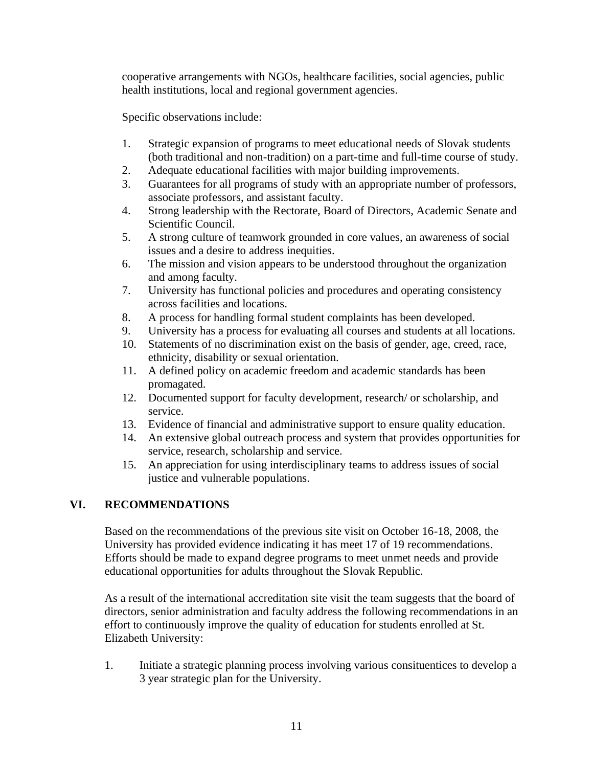cooperative arrangements with NGOs, healthcare facilities, social agencies, public health institutions, local and regional government agencies.

Specific observations include:

- 1. Strategic expansion of programs to meet educational needs of Slovak students (both traditional and non-tradition) on a part-time and full-time course of study.
- 2. Adequate educational facilities with major building improvements.
- 3. Guarantees for all programs of study with an appropriate number of professors, associate professors, and assistant faculty.
- 4. Strong leadership with the Rectorate, Board of Directors, Academic Senate and Scientific Council.
- 5. A strong culture of teamwork grounded in core values, an awareness of social issues and a desire to address inequities.
- 6. The mission and vision appears to be understood throughout the organization and among faculty.
- 7. University has functional policies and procedures and operating consistency across facilities and locations.
- 8. A process for handling formal student complaints has been developed.
- 9. University has a process for evaluating all courses and students at all locations.
- 10. Statements of no discrimination exist on the basis of gender, age, creed, race, ethnicity, disability or sexual orientation.
- 11. A defined policy on academic freedom and academic standards has been promagated.
- 12. Documented support for faculty development, research/ or scholarship, and service.
- 13. Evidence of financial and administrative support to ensure quality education.
- 14. An extensive global outreach process and system that provides opportunities for service, research, scholarship and service.
- 15. An appreciation for using interdisciplinary teams to address issues of social justice and vulnerable populations.

# **VI. RECOMMENDATIONS**

Based on the recommendations of the previous site visit on October 16-18, 2008, the University has provided evidence indicating it has meet 17 of 19 recommendations. Efforts should be made to expand degree programs to meet unmet needs and provide educational opportunities for adults throughout the Slovak Republic.

As a result of the international accreditation site visit the team suggests that the board of directors, senior administration and faculty address the following recommendations in an effort to continuously improve the quality of education for students enrolled at St. Elizabeth University:

1. Initiate a strategic planning process involving various consituentices to develop a 3 year strategic plan for the University.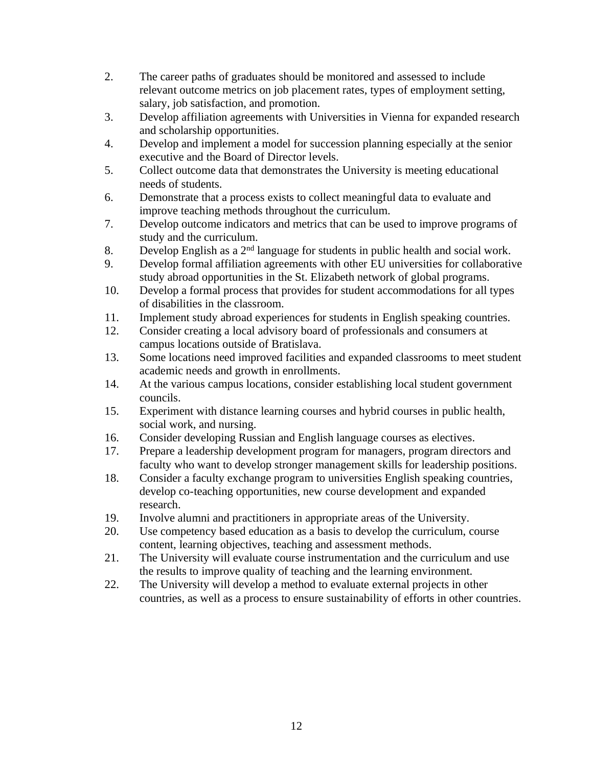- 2. The career paths of graduates should be monitored and assessed to include relevant outcome metrics on job placement rates, types of employment setting, salary, job satisfaction, and promotion.
- 3. Develop affiliation agreements with Universities in Vienna for expanded research and scholarship opportunities.
- 4. Develop and implement a model for succession planning especially at the senior executive and the Board of Director levels.
- 5. Collect outcome data that demonstrates the University is meeting educational needs of students.
- 6. Demonstrate that a process exists to collect meaningful data to evaluate and improve teaching methods throughout the curriculum.
- 7. Develop outcome indicators and metrics that can be used to improve programs of study and the curriculum.
- 8. Develop English as a  $2<sup>nd</sup>$  language for students in public health and social work.
- 9. Develop formal affiliation agreements with other EU universities for collaborative study abroad opportunities in the St. Elizabeth network of global programs.
- 10. Develop a formal process that provides for student accommodations for all types of disabilities in the classroom.
- 11. Implement study abroad experiences for students in English speaking countries.
- 12. Consider creating a local advisory board of professionals and consumers at campus locations outside of Bratislava.
- 13. Some locations need improved facilities and expanded classrooms to meet student academic needs and growth in enrollments.
- 14. At the various campus locations, consider establishing local student government councils.
- 15. Experiment with distance learning courses and hybrid courses in public health, social work, and nursing.
- 16. Consider developing Russian and English language courses as electives.
- 17. Prepare a leadership development program for managers, program directors and faculty who want to develop stronger management skills for leadership positions.
- 18. Consider a faculty exchange program to universities English speaking countries, develop co-teaching opportunities, new course development and expanded research.
- 19. Involve alumni and practitioners in appropriate areas of the University.
- 20. Use competency based education as a basis to develop the curriculum, course content, learning objectives, teaching and assessment methods.
- 21. The University will evaluate course instrumentation and the curriculum and use the results to improve quality of teaching and the learning environment.
- 22. The University will develop a method to evaluate external projects in other countries, as well as a process to ensure sustainability of efforts in other countries.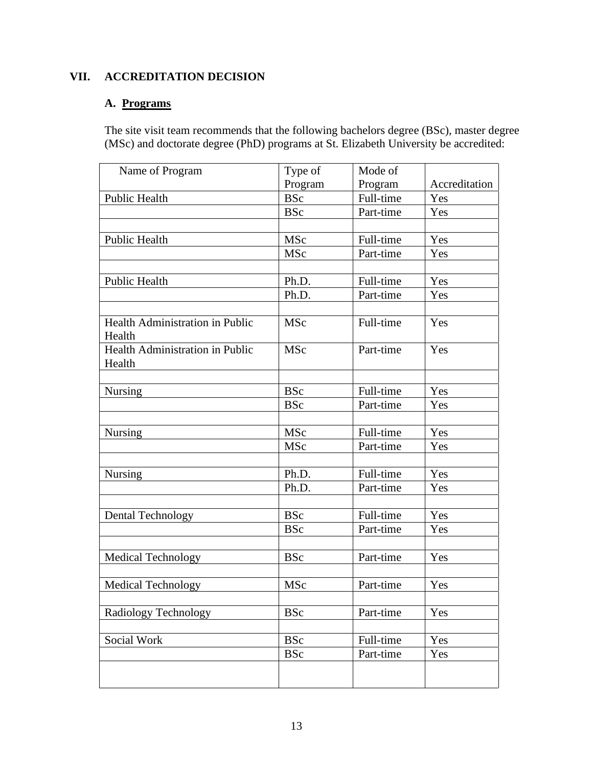# **VII. ACCREDITATION DECISION**

# **A. Programs**

The site visit team recommends that the following bachelors degree (BSc), master degree (MSc) and doctorate degree (PhD) programs at St. Elizabeth University be accredited:

| Name of Program                           | Type of    | Mode of   |               |
|-------------------------------------------|------------|-----------|---------------|
|                                           | Program    | Program   | Accreditation |
| Public Health                             | <b>BSc</b> | Full-time | Yes           |
|                                           | <b>BSc</b> | Part-time | Yes           |
|                                           |            |           |               |
| Public Health                             | <b>MSc</b> | Full-time | Yes           |
|                                           | MSc        | Part-time | Yes           |
|                                           |            |           |               |
| <b>Public Health</b>                      | Ph.D.      | Full-time | Yes           |
|                                           | Ph.D.      | Part-time | Yes           |
|                                           |            |           |               |
| Health Administration in Public<br>Health | MSc        | Full-time | Yes           |
| Health Administration in Public<br>Health | <b>MSc</b> | Part-time | Yes           |
|                                           |            |           |               |
| <b>Nursing</b>                            | <b>BSc</b> | Full-time | Yes           |
|                                           | <b>BSc</b> | Part-time | Yes           |
|                                           |            |           |               |
| Nursing                                   | MSc        | Full-time | Yes           |
|                                           | <b>MSc</b> | Part-time | Yes           |
|                                           |            |           |               |
| Nursing                                   | Ph.D.      | Full-time | Yes           |
|                                           | Ph.D.      | Part-time | Yes           |
|                                           |            |           |               |
| <b>Dental Technology</b>                  | <b>BSc</b> | Full-time | Yes           |
|                                           | <b>BSc</b> | Part-time | Yes           |
|                                           |            |           |               |
| <b>Medical Technology</b>                 | <b>BSc</b> | Part-time | Yes           |
|                                           |            |           |               |
| Medical Technology                        | MSc        | Part-time | Yes           |
|                                           |            |           |               |
| Radiology Technology                      | <b>BSc</b> | Part-time | Yes           |
|                                           |            |           |               |
| Social Work                               | <b>BSc</b> | Full-time | Yes           |
|                                           | <b>BSc</b> | Part-time | Yes           |
|                                           |            |           |               |
|                                           |            |           |               |